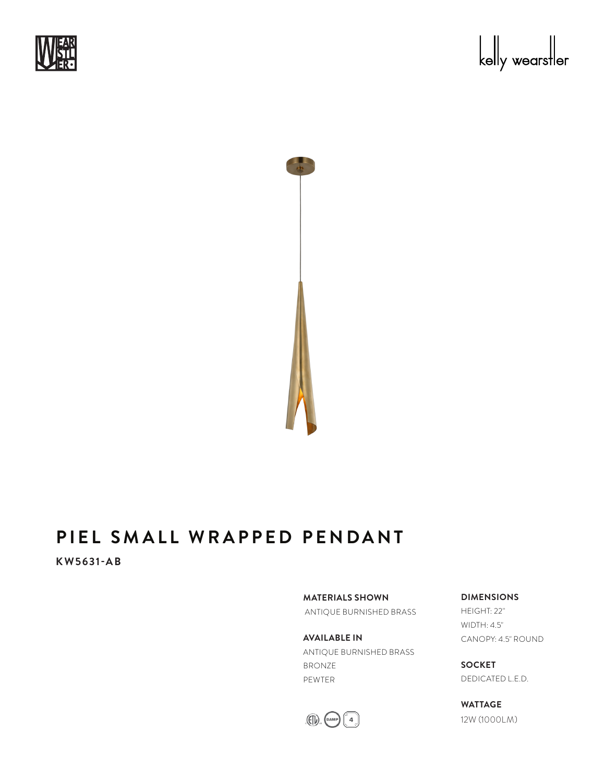





## **PIEL SMALL WRAPPED PENDANT**

**KW5631-AB**

**MATERIALS SHOWN** ANTIQUE BURNISHED BRASS

**AVAILABLE IN** ANTIQUE BURNISHED BRASS BRONZE PEWTER

**DIMENSIONS** HEIGHT: 22" WIDTH: 4.5" CANOPY: 4.5" ROUND

**SOCKET** DEDICATED L.E.D.

**WATTAGE** 12W (1000LM)

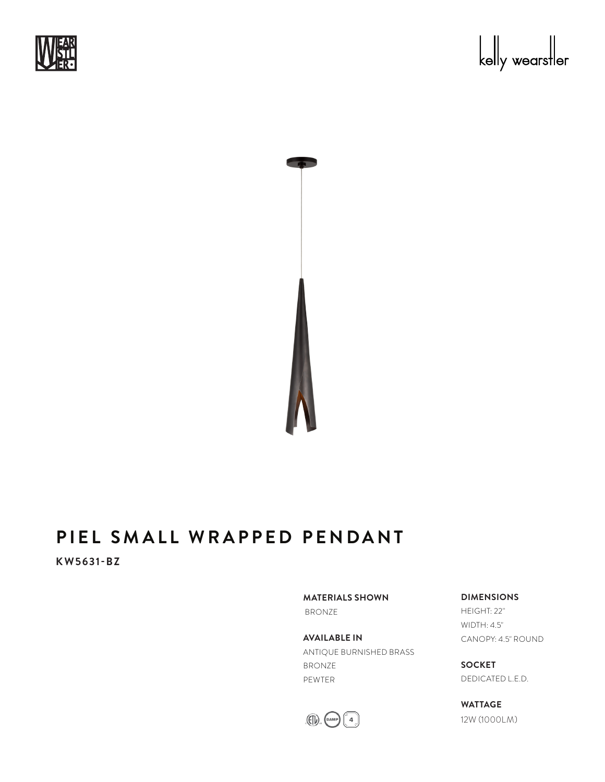





## **PIEL SMALL WRAPPED PENDANT**

**KW5631-BZ**

**MATERIALS SHOWN** BRONZE

**AVAILABLE IN** ANTIQUE BURNISHED BRASS BRONZE PEWTER



**SOCKET** DEDICATED L.E.D.

**WATTAGE** 12W (1000LM)